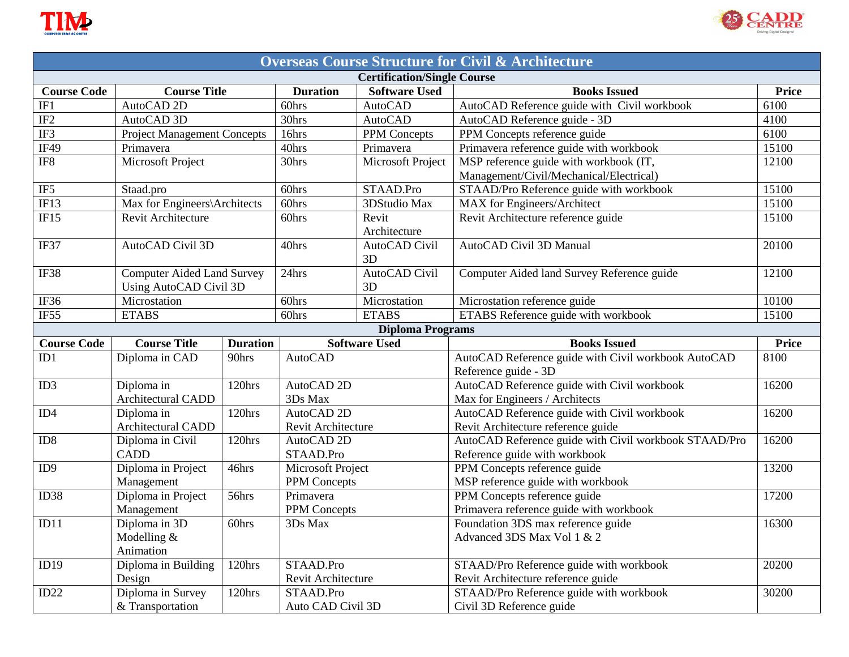



| <b>Overseas Course Structure for Civil &amp; Architecture</b> |                                       |                 |                                |                         |                                                                     |       |  |  |
|---------------------------------------------------------------|---------------------------------------|-----------------|--------------------------------|-------------------------|---------------------------------------------------------------------|-------|--|--|
| <b>Certification/Single Course</b>                            |                                       |                 |                                |                         |                                                                     |       |  |  |
| <b>Course Code</b>                                            | <b>Course Title</b>                   |                 | <b>Duration</b>                | <b>Software Used</b>    | <b>Books Issued</b>                                                 | Price |  |  |
| IF1                                                           | AutoCAD <sub>2D</sub>                 |                 | 60hrs                          | <b>AutoCAD</b>          | AutoCAD Reference guide with Civil workbook                         | 6100  |  |  |
| IF <sub>2</sub>                                               | AutoCAD 3D                            |                 | 30hrs                          | <b>AutoCAD</b>          | AutoCAD Reference guide - 3D                                        | 4100  |  |  |
| IF3                                                           | <b>Project Management Concepts</b>    |                 | 16hrs                          | <b>PPM</b> Concepts     | PPM Concepts reference guide                                        | 6100  |  |  |
| IF49                                                          | Primavera                             |                 | 40hrs                          | Primavera               | Primavera reference guide with workbook                             | 15100 |  |  |
| $IF8$                                                         | Microsoft Project                     |                 | 30hrs                          | Microsoft Project       | MSP reference guide with workbook (IT,                              | 12100 |  |  |
|                                                               |                                       |                 |                                |                         | Management/Civil/Mechanical/Electrical)                             |       |  |  |
| IF <sub>5</sub>                                               | Staad.pro                             |                 | 60hrs                          | STAAD.Pro               | STAAD/Pro Reference guide with workbook                             | 15100 |  |  |
| IF13                                                          | Max for Engineers\Architects          |                 | 60hrs                          | 3DStudio Max            | <b>MAX</b> for Engineers/Architect                                  | 15100 |  |  |
| IF15                                                          | Revit Architecture                    |                 | 60hrs                          | Revit                   | Revit Architecture reference guide                                  | 15100 |  |  |
|                                                               |                                       |                 |                                | Architecture            |                                                                     |       |  |  |
| IF37                                                          | AutoCAD Civil 3D                      |                 | 40hrs                          | AutoCAD Civil           | AutoCAD Civil 3D Manual                                             | 20100 |  |  |
|                                                               |                                       |                 |                                | 3D                      |                                                                     |       |  |  |
| IF38                                                          | <b>Computer Aided Land Survey</b>     |                 | 24hrs                          | AutoCAD Civil           | Computer Aided land Survey Reference guide                          | 12100 |  |  |
|                                                               | <b>Using AutoCAD Civil 3D</b>         |                 |                                | 3D                      |                                                                     |       |  |  |
| IF36                                                          | Microstation                          |                 | 60hrs                          | Microstation            | Microstation reference guide                                        | 10100 |  |  |
| IF <sub>55</sub>                                              | <b>ETABS</b>                          |                 | 60hrs                          | <b>ETABS</b>            | ETABS Reference guide with workbook                                 | 15100 |  |  |
|                                                               |                                       |                 |                                | <b>Diploma Programs</b> |                                                                     |       |  |  |
|                                                               |                                       |                 |                                |                         |                                                                     |       |  |  |
| <b>Course Code</b>                                            | <b>Course Title</b>                   | <b>Duration</b> |                                | <b>Software Used</b>    | <b>Books Issued</b>                                                 | Price |  |  |
| ID1                                                           | Diploma in CAD                        | 90hrs           | <b>AutoCAD</b>                 |                         | AutoCAD Reference guide with Civil workbook AutoCAD                 | 8100  |  |  |
|                                                               |                                       |                 |                                |                         | Reference guide - 3D                                                |       |  |  |
| ID3                                                           | Diploma in                            | 120hrs          | AutoCAD <sub>2D</sub>          |                         | AutoCAD Reference guide with Civil workbook                         | 16200 |  |  |
|                                                               | <b>Architectural CADD</b>             |                 | 3Ds Max                        |                         | Max for Engineers / Architects                                      |       |  |  |
| ID4                                                           | Diploma in                            | 120hrs          | AutoCAD <sub>2D</sub>          |                         | AutoCAD Reference guide with Civil workbook                         | 16200 |  |  |
|                                                               | <b>Architectural CADD</b>             |                 | Revit Architecture             |                         | Revit Architecture reference guide                                  |       |  |  |
| ID8                                                           | Diploma in Civil                      | 120hrs          | AutoCAD <sub>2D</sub>          |                         | AutoCAD Reference guide with Civil workbook STAAD/Pro               | 16200 |  |  |
|                                                               | <b>CADD</b>                           |                 | STAAD.Pro                      |                         | Reference guide with workbook                                       |       |  |  |
| ID <sub>9</sub>                                               | Diploma in Project                    | 46hrs           | Microsoft Project              |                         | PPM Concepts reference guide                                        | 13200 |  |  |
|                                                               | Management                            |                 | PPM Concepts                   |                         | MSP reference guide with workbook                                   |       |  |  |
| ID38                                                          | Diploma in Project                    | 56hrs           | Primavera                      |                         | PPM Concepts reference guide                                        | 17200 |  |  |
|                                                               | Management                            |                 | PPM Concepts                   |                         | Primavera reference guide with workbook                             |       |  |  |
| ID11                                                          | Diploma in 3D                         | 60hrs           | 3Ds Max                        |                         | Foundation 3DS max reference guide                                  | 16300 |  |  |
|                                                               | Modelling $&$                         |                 |                                |                         | Advanced 3DS Max Vol 1 & 2                                          |       |  |  |
|                                                               | Animation                             |                 |                                |                         |                                                                     |       |  |  |
| ID19                                                          | Diploma in Building                   | 120hrs          | STAAD.Pro                      |                         | STAAD/Pro Reference guide with workbook                             | 20200 |  |  |
|                                                               | Design                                |                 | Revit Architecture             |                         | Revit Architecture reference guide                                  |       |  |  |
| ID22                                                          | Diploma in Survey<br>& Transportation | 120hrs          | STAAD.Pro<br>Auto CAD Civil 3D |                         | STAAD/Pro Reference guide with workbook<br>Civil 3D Reference guide | 30200 |  |  |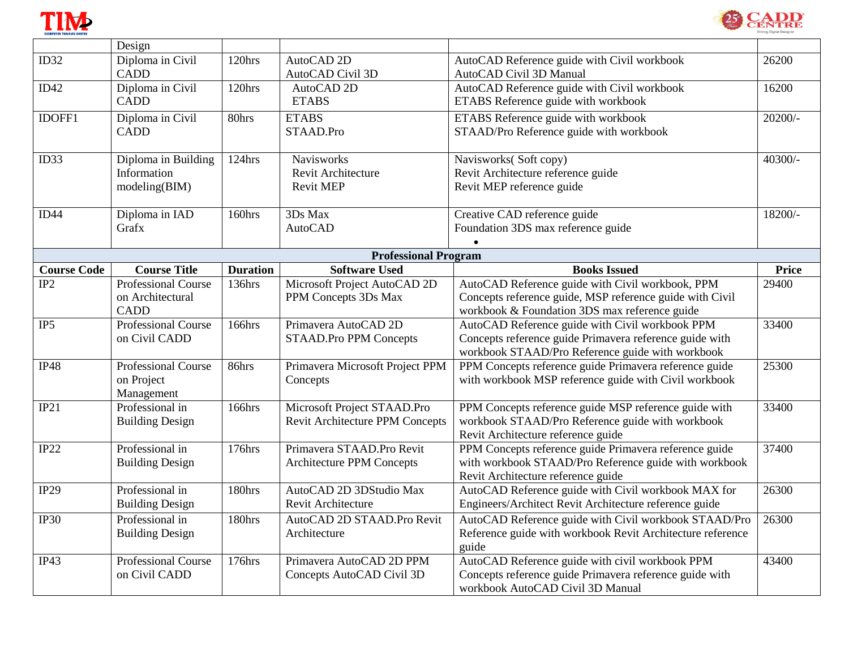



|                    | Design                     |                 |                                  |                                                            |              |
|--------------------|----------------------------|-----------------|----------------------------------|------------------------------------------------------------|--------------|
| ID32               | Diploma in Civil           | 120hrs          | AutoCAD <sub>2D</sub>            | AutoCAD Reference guide with Civil workbook                | 26200        |
|                    | <b>CADD</b>                |                 | AutoCAD Civil 3D                 | AutoCAD Civil 3D Manual                                    |              |
| ID42               | Diploma in Civil           | 120hrs          | AutoCAD <sub>2D</sub>            | AutoCAD Reference guide with Civil workbook                | 16200        |
|                    | <b>CADD</b>                |                 | <b>ETABS</b>                     | ETABS Reference guide with workbook                        |              |
| IDOFF1             | Diploma in Civil           | 80hrs           | <b>ETABS</b>                     | ETABS Reference guide with workbook                        | $20200/-$    |
|                    | <b>CADD</b>                |                 | STAAD.Pro                        | STAAD/Pro Reference guide with workbook                    |              |
|                    |                            |                 |                                  |                                                            |              |
| ID33               | Diploma in Building        | 124hrs          | <b>Navisworks</b>                | Navisworks(Soft copy)                                      | $40300/-$    |
|                    | Information                |                 | Revit Architecture               | Revit Architecture reference guide                         |              |
|                    | modeling(BIM)              |                 | <b>Revit MEP</b>                 | Revit MEP reference guide                                  |              |
|                    |                            |                 |                                  |                                                            |              |
| ID44               | Diploma in IAD             | 160hrs          | 3Ds Max                          | Creative CAD reference guide                               | 18200/-      |
|                    | Grafx                      |                 | <b>AutoCAD</b>                   | Foundation 3DS max reference guide                         |              |
|                    |                            |                 |                                  |                                                            |              |
|                    |                            |                 | <b>Professional Program</b>      |                                                            |              |
| <b>Course Code</b> | <b>Course Title</b>        | <b>Duration</b> | <b>Software Used</b>             | <b>Books Issued</b>                                        | <b>Price</b> |
| IP2                | <b>Professional Course</b> | 136hrs          | Microsoft Project AutoCAD 2D     | AutoCAD Reference guide with Civil workbook, PPM           | 29400        |
|                    | on Architectural           |                 | PPM Concepts 3Ds Max             | Concepts reference guide, MSP reference guide with Civil   |              |
|                    | <b>CADD</b>                |                 |                                  | workbook & Foundation 3DS max reference guide              |              |
| IP <sub>5</sub>    | <b>Professional Course</b> | 166hrs          | Primavera AutoCAD 2D             | AutoCAD Reference guide with Civil workbook PPM            | 33400        |
|                    | on Civil CADD              |                 | STAAD.Pro PPM Concepts           | Concepts reference guide Primavera reference guide with    |              |
|                    |                            |                 |                                  | workbook STAAD/Pro Reference guide with workbook           |              |
| <b>IP48</b>        | Professional Course        | $86$ hrs        | Primavera Microsoft Project PPM  | PPM Concepts reference guide Primavera reference guide     | 25300        |
|                    | on Project                 |                 | Concepts                         | with workbook MSP reference guide with Civil workbook      |              |
|                    | Management                 |                 |                                  |                                                            |              |
| IP21               | Professional in            | 166hrs          | Microsoft Project STAAD.Pro      | PPM Concepts reference guide MSP reference guide with      | 33400        |
|                    | <b>Building Design</b>     |                 | Revit Architecture PPM Concepts  | workbook STAAD/Pro Reference guide with workbook           |              |
|                    | Professional in            |                 |                                  | Revit Architecture reference guide                         |              |
| IP22               |                            | 176hrs          | Primavera STAAD.Pro Revit        | PPM Concepts reference guide Primavera reference guide     | 37400        |
|                    | <b>Building Design</b>     |                 | <b>Architecture PPM Concepts</b> | with workbook STAAD/Pro Reference guide with workbook      |              |
| IP29               | Professional in            | 180hrs          | AutoCAD 2D 3DStudio Max          | Revit Architecture reference guide                         | 26300        |
|                    |                            |                 | Revit Architecture               | AutoCAD Reference guide with Civil workbook MAX for        |              |
|                    | <b>Building Design</b>     |                 |                                  | Engineers/Architect Revit Architecture reference guide     |              |
| <b>IP30</b>        | Professional in            | 180hrs          | AutoCAD 2D STAAD.Pro Revit       | AutoCAD Reference guide with Civil workbook STAAD/Pro      | 26300        |
|                    | <b>Building Design</b>     |                 | Architecture                     | Reference guide with workbook Revit Architecture reference |              |
|                    |                            |                 |                                  | guide                                                      |              |
| IP43               | Professional Course        | 176hrs          | Primavera AutoCAD 2D PPM         | AutoCAD Reference guide with civil workbook PPM            | 43400        |
|                    | on Civil CADD              |                 | Concepts AutoCAD Civil 3D        | Concepts reference guide Primavera reference guide with    |              |
|                    |                            |                 |                                  | workbook AutoCAD Civil 3D Manual                           |              |